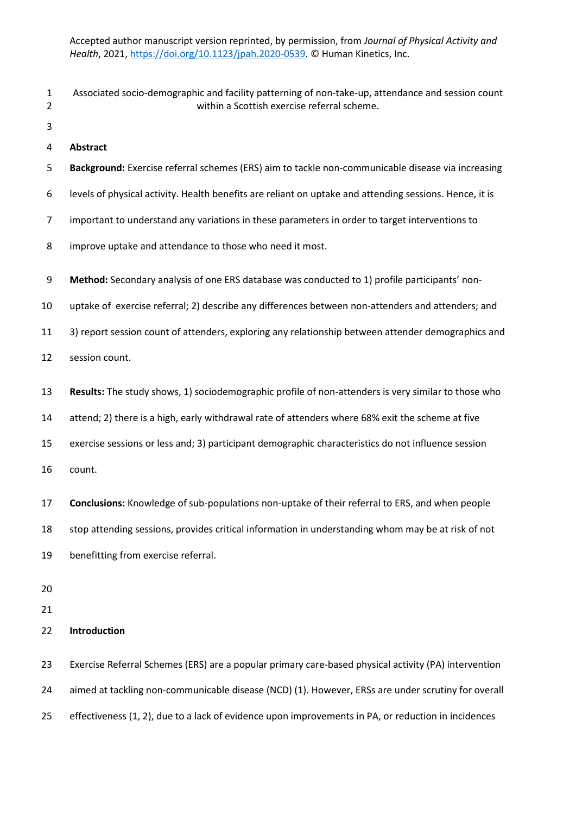- Associated socio-demographic and facility patterning of non-take-up, attendance and session count within a Scottish exercise referral scheme.
- 

**Abstract**

- **Background:** Exercise referral schemes (ERS) aim to tackle non-communicable disease via increasing
- levels of physical activity. Health benefits are reliant on uptake and attending sessions. Hence, it is
- 7 important to understand any variations in these parameters in order to target interventions to
- improve uptake and attendance to those who need it most.
- **Method:** Secondary analysis of one ERS database was conducted to 1) profile participants' non-
- uptake of exercise referral; 2) describe any differences between non-attenders and attenders; and
- 3) report session count of attenders, exploring any relationship between attender demographics and
- session count.
- **Results:** The study shows, 1) sociodemographic profile of non-attenders is very similar to those who
- attend; 2) there is a high, early withdrawal rate of attenders where 68% exit the scheme at five
- exercise sessions or less and; 3) participant demographic characteristics do not influence session
- count.
- **Conclusions:** Knowledge of sub-populations non-uptake of their referral to ERS, and when people
- stop attending sessions, provides critical information in understanding whom may be at risk of not
- benefitting from exercise referral.
- 

**Introduction**

 Exercise Referral Schemes (ERS) are a popular primary care-based physical activity (PA) intervention 24 aimed at tackling non-communicable disease (NCD) (1). However, ERSs are under scrutiny for overall effectiveness (1, 2), due to a lack of evidence upon improvements in PA, or reduction in incidences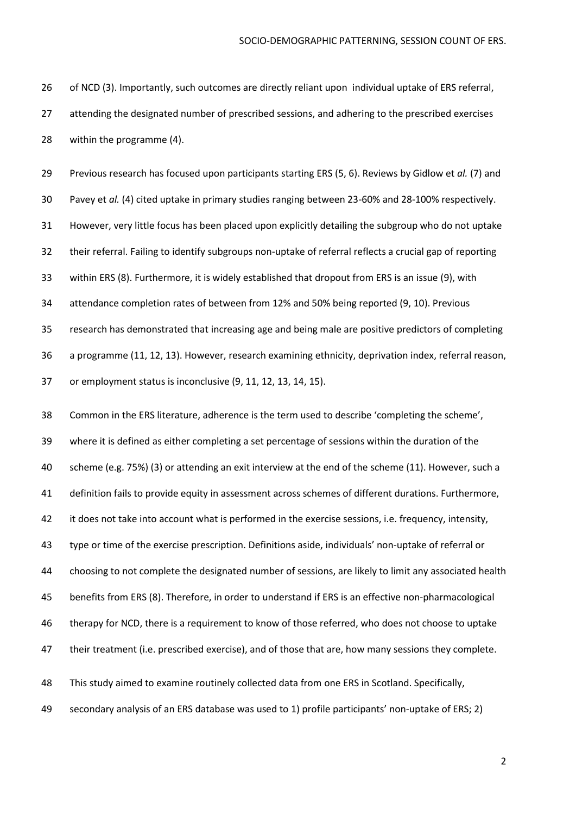of NCD (3). Importantly, such outcomes are directly reliant upon individual uptake of ERS referral, attending the designated number of prescribed sessions, and adhering to the prescribed exercises within the programme (4).

 Previous research has focused upon participants starting ERS (5, 6). Reviews by Gidlow et *al.* (7) and Pavey et *al.* (4) cited uptake in primary studies ranging between 23-60% and 28-100% respectively. However, very little focus has been placed upon explicitly detailing the subgroup who do not uptake their referral. Failing to identify subgroups non-uptake of referral reflects a crucial gap of reporting within ERS (8). Furthermore, it is widely established that dropout from ERS is an issue (9), with attendance completion rates of between from 12% and 50% being reported (9, 10). Previous research has demonstrated that increasing age and being male are positive predictors of completing a programme (11, 12, 13). However, research examining ethnicity, deprivation index, referral reason, or employment status is inconclusive (9, 11, 12, 13, 14, 15).

 Common in the ERS literature, adherence is the term used to describe 'completing the scheme', where it is defined as either completing a set percentage of sessions within the duration of the scheme (e.g. 75%) (3) or attending an exit interview at the end of the scheme (11). However, such a definition fails to provide equity in assessment across schemes of different durations. Furthermore, 42 it does not take into account what is performed in the exercise sessions, i.e. frequency, intensity, type or time of the exercise prescription. Definitions aside, individuals' non-uptake of referral or choosing to not complete the designated number of sessions, are likely to limit any associated health benefits from ERS (8). Therefore, in order to understand if ERS is an effective non-pharmacological therapy for NCD, there is a requirement to know of those referred, who does not choose to uptake their treatment (i.e. prescribed exercise), and of those that are, how many sessions they complete. This study aimed to examine routinely collected data from one ERS in Scotland. Specifically,

secondary analysis of an ERS database was used to 1) profile participants' non-uptake of ERS; 2)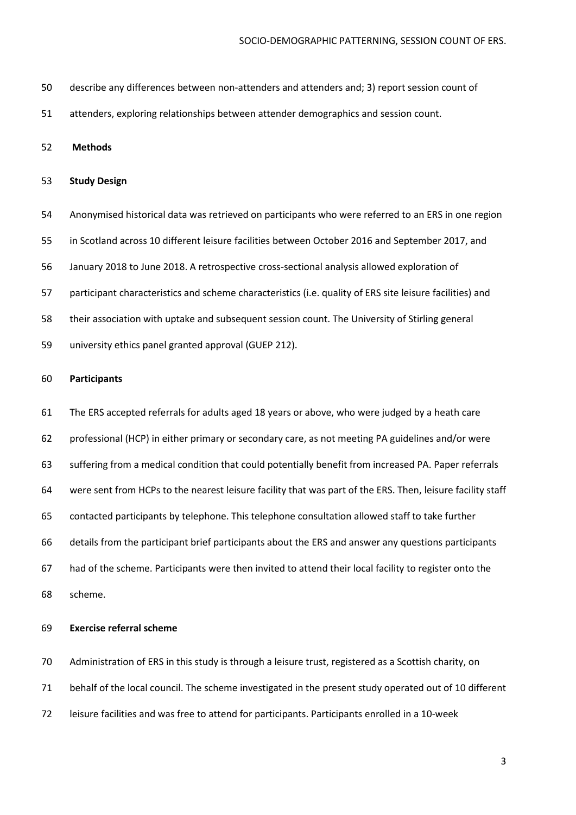- describe any differences between non-attenders and attenders and; 3) report session count of
- attenders, exploring relationships between attender demographics and session count.

## **Methods**

### **Study Design**

 Anonymised historical data was retrieved on participants who were referred to an ERS in one region in Scotland across 10 different leisure facilities between October 2016 and September 2017, and January 2018 to June 2018. A retrospective cross-sectional analysis allowed exploration of participant characteristics and scheme characteristics (i.e. quality of ERS site leisure facilities) and their association with uptake and subsequent session count. The University of Stirling general university ethics panel granted approval (GUEP 212).

## **Participants**

 The ERS accepted referrals for adults aged 18 years or above, who were judged by a heath care professional (HCP) in either primary or secondary care, as not meeting PA guidelines and/or were suffering from a medical condition that could potentially benefit from increased PA. Paper referrals were sent from HCPs to the nearest leisure facility that was part of the ERS. Then, leisure facility staff contacted participants by telephone. This telephone consultation allowed staff to take further details from the participant brief participants about the ERS and answer any questions participants had of the scheme. Participants were then invited to attend their local facility to register onto the scheme.

## **Exercise referral scheme**

Administration of ERS in this study is through a leisure trust, registered as a Scottish charity, on

- behalf of the local council. The scheme investigated in the present study operated out of 10 different
- leisure facilities and was free to attend for participants. Participants enrolled in a 10-week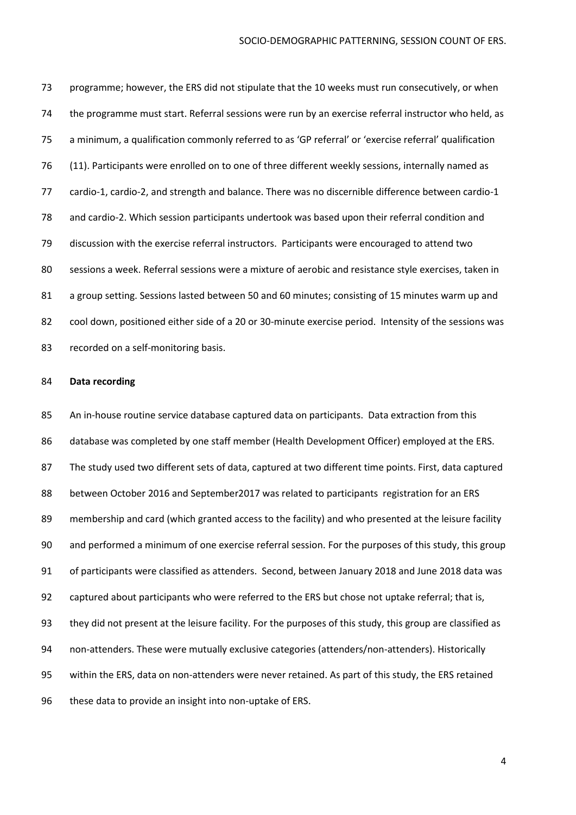programme; however, the ERS did not stipulate that the 10 weeks must run consecutively, or when the programme must start. Referral sessions were run by an exercise referral instructor who held, as a minimum, a qualification commonly referred to as 'GP referral' or 'exercise referral' qualification (11). Participants were enrolled on to one of three different weekly sessions, internally named as cardio-1, cardio-2, and strength and balance. There was no discernible difference between cardio-1 and cardio-2. Which session participants undertook was based upon their referral condition and discussion with the exercise referral instructors. Participants were encouraged to attend two sessions a week. Referral sessions were a mixture of aerobic and resistance style exercises, taken in a group setting. Sessions lasted between 50 and 60 minutes; consisting of 15 minutes warm up and cool down, positioned either side of a 20 or 30-minute exercise period. Intensity of the sessions was recorded on a self-monitoring basis.

#### **Data recording**

 An in-house routine service database captured data on participants. Data extraction from this database was completed by one staff member (Health Development Officer) employed at the ERS. The study used two different sets of data, captured at two different time points. First, data captured between October 2016 and September2017 was related to participants registration for an ERS membership and card (which granted access to the facility) and who presented at the leisure facility and performed a minimum of one exercise referral session. For the purposes of this study, this group of participants were classified as attenders. Second, between January 2018 and June 2018 data was captured about participants who were referred to the ERS but chose not uptake referral; that is, they did not present at the leisure facility. For the purposes of this study, this group are classified as non-attenders. These were mutually exclusive categories (attenders/non-attenders). Historically within the ERS, data on non-attenders were never retained. As part of this study, the ERS retained these data to provide an insight into non-uptake of ERS.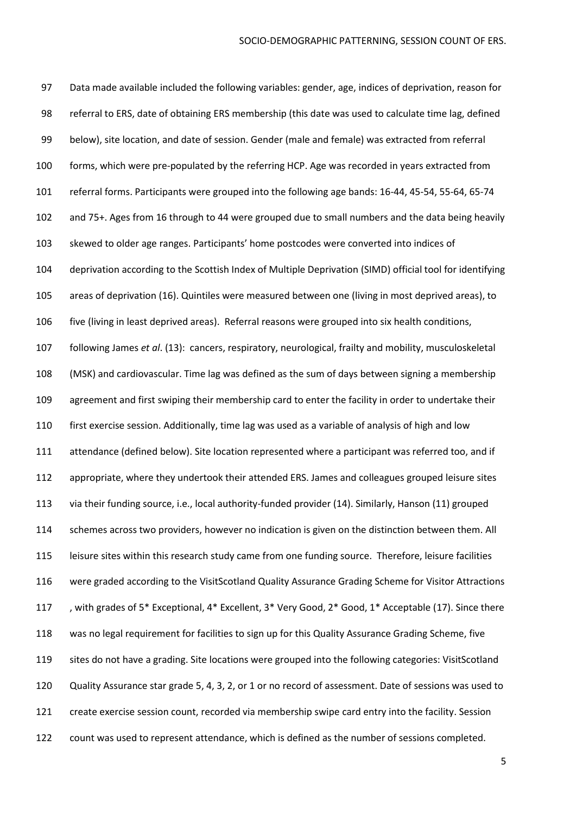Data made available included the following variables: gender, age, indices of deprivation, reason for referral to ERS, date of obtaining ERS membership (this date was used to calculate time lag, defined below), site location, and date of session. Gender (male and female) was extracted from referral forms, which were pre-populated by the referring HCP. Age was recorded in years extracted from referral forms. Participants were grouped into the following age bands: 16-44, 45-54, 55-64, 65-74 and 75+. Ages from 16 through to 44 were grouped due to small numbers and the data being heavily skewed to older age ranges. Participants' home postcodes were converted into indices of deprivation according to the Scottish Index of Multiple Deprivation (SIMD) official tool for identifying areas of deprivation (16). Quintiles were measured between one (living in most deprived areas), to five (living in least deprived areas). Referral reasons were grouped into six health conditions, following James *et al*. (13): cancers, respiratory, neurological, frailty and mobility, musculoskeletal (MSK) and cardiovascular. Time lag was defined as the sum of days between signing a membership agreement and first swiping their membership card to enter the facility in order to undertake their first exercise session. Additionally, time lag was used as a variable of analysis of high and low attendance (defined below). Site location represented where a participant was referred too, and if appropriate, where they undertook their attended ERS. James and colleagues grouped leisure sites via their funding source, i.e., local authority-funded provider (14). Similarly, Hanson (11) grouped schemes across two providers, however no indication is given on the distinction between them. All leisure sites within this research study came from one funding source. Therefore, leisure facilities were graded according to the VisitScotland Quality Assurance Grading Scheme for Visitor Attractions 117 , with grades of 5\* Exceptional, 4\* Excellent, 3\* Very Good, 2\* Good, 1\* Acceptable (17). Since there was no legal requirement for facilities to sign up for this Quality Assurance Grading Scheme, five sites do not have a grading. Site locations were grouped into the following categories: VisitScotland Quality Assurance star grade 5, 4, 3, 2, or 1 or no record of assessment. Date of sessions was used to create exercise session count, recorded via membership swipe card entry into the facility. Session count was used to represent attendance, which is defined as the number of sessions completed.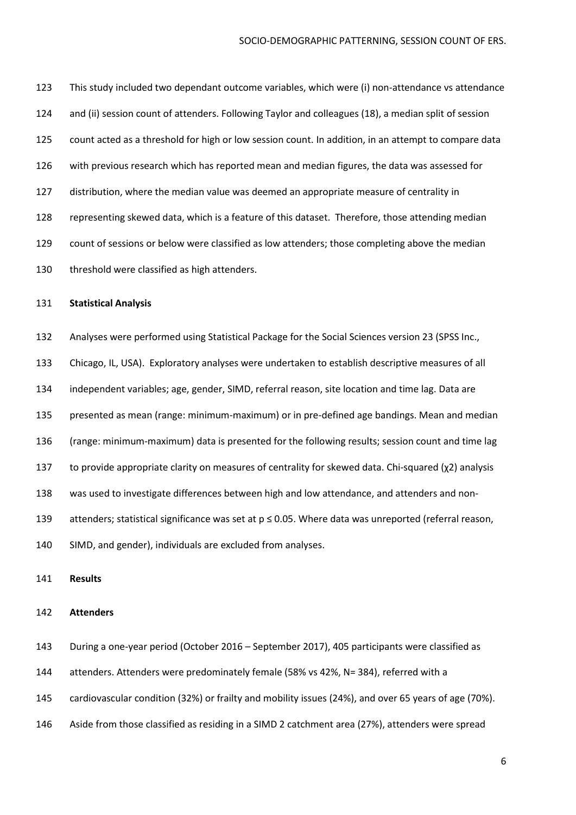This study included two dependant outcome variables, which were (i) non-attendance vs attendance and (ii) session count of attenders. Following Taylor and colleagues (18), a median split of session count acted as a threshold for high or low session count. In addition, in an attempt to compare data with previous research which has reported mean and median figures, the data was assessed for distribution, where the median value was deemed an appropriate measure of centrality in representing skewed data, which is a feature of this dataset. Therefore, those attending median count of sessions or below were classified as low attenders; those completing above the median threshold were classified as high attenders.

### **Statistical Analysis**

- Analyses were performed using Statistical Package for the Social Sciences version 23 (SPSS Inc.,
- Chicago, IL, USA). Exploratory analyses were undertaken to establish descriptive measures of all
- independent variables; age, gender, SIMD, referral reason, site location and time lag. Data are
- presented as mean (range: minimum-maximum) or in pre-defined age bandings. Mean and median
- (range: minimum-maximum) data is presented for the following results; session count and time lag
- to provide appropriate clarity on measures of centrality for skewed data. Chi-squared (χ2) analysis
- was used to investigate differences between high and low attendance, and attenders and non-
- attenders; statistical significance was set at p ≤ 0.05. Where data was unreported (referral reason,
- SIMD, and gender), individuals are excluded from analyses.
- **Results**

### **Attenders**

- During a one-year period (October 2016 September 2017), 405 participants were classified as
- attenders. Attenders were predominately female (58% vs 42%, N= 384), referred with a
- cardiovascular condition (32%) or frailty and mobility issues (24%), and over 65 years of age (70%).
- Aside from those classified as residing in a SIMD 2 catchment area (27%), attenders were spread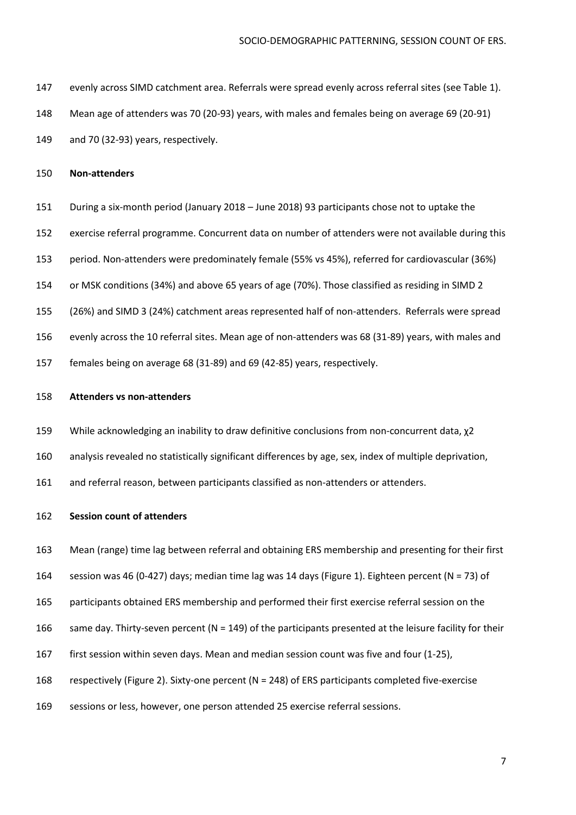- evenly across SIMD catchment area. Referrals were spread evenly across referral sites (see Table 1).
- Mean age of attenders was 70 (20-93) years, with males and females being on average 69 (20-91)
- and 70 (32-93) years, respectively.

#### **Non-attenders**

- During a six-month period (January 2018 June 2018) 93 participants chose not to uptake the
- exercise referral programme. Concurrent data on number of attenders were not available during this
- period. Non-attenders were predominately female (55% vs 45%), referred for cardiovascular (36%)
- or MSK conditions (34%) and above 65 years of age (70%). Those classified as residing in SIMD 2
- (26%) and SIMD 3 (24%) catchment areas represented half of non-attenders. Referrals were spread
- evenly across the 10 referral sites. Mean age of non-attenders was 68 (31-89) years, with males and
- females being on average 68 (31-89) and 69 (42-85) years, respectively.

### **Attenders vs non-attenders**

- While acknowledging an inability to draw definitive conclusions from non-concurrent data, χ2
- analysis revealed no statistically significant differences by age, sex, index of multiple deprivation,
- and referral reason, between participants classified as non-attenders or attenders.

#### **Session count of attenders**

- Mean (range) time lag between referral and obtaining ERS membership and presenting for their first
- session was 46 (0-427) days; median time lag was 14 days (Figure 1). Eighteen percent (N = 73) of
- participants obtained ERS membership and performed their first exercise referral session on the
- 166 same day. Thirty-seven percent  $(N = 149)$  of the participants presented at the leisure facility for their
- first session within seven days. Mean and median session count was five and four (1-25),
- respectively (Figure 2). Sixty-one percent (N = 248) of ERS participants completed five-exercise
- sessions or less, however, one person attended 25 exercise referral sessions.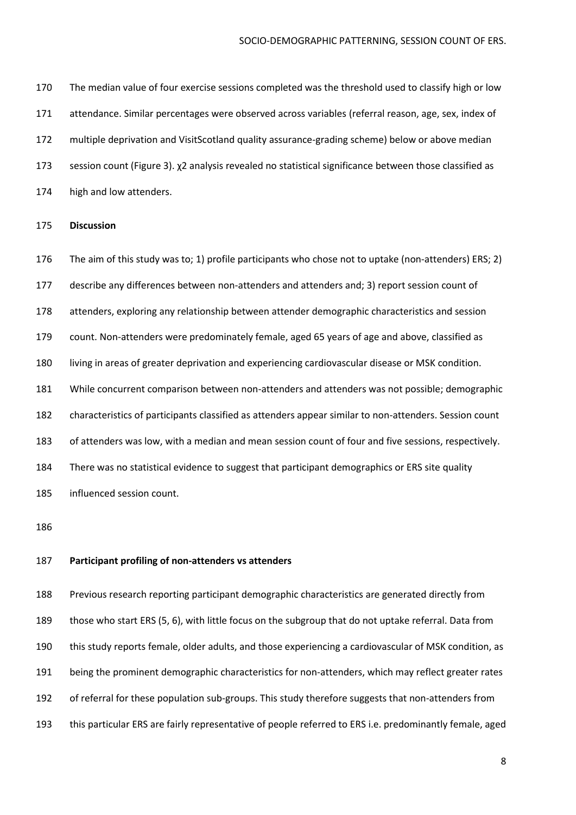The median value of four exercise sessions completed was the threshold used to classify high or low attendance. Similar percentages were observed across variables (referral reason, age, sex, index of multiple deprivation and VisitScotland quality assurance-grading scheme) below or above median session count (Figure 3). χ2 analysis revealed no statistical significance between those classified as high and low attenders.

#### **Discussion**

 The aim of this study was to; 1) profile participants who chose not to uptake (non-attenders) ERS; 2) describe any differences between non-attenders and attenders and; 3) report session count of attenders, exploring any relationship between attender demographic characteristics and session count. Non-attenders were predominately female, aged 65 years of age and above, classified as living in areas of greater deprivation and experiencing cardiovascular disease or MSK condition. While concurrent comparison between non-attenders and attenders was not possible; demographic characteristics of participants classified as attenders appear similar to non-attenders. Session count of attenders was low, with a median and mean session count of four and five sessions, respectively. There was no statistical evidence to suggest that participant demographics or ERS site quality influenced session count.

#### **Participant profiling of non-attenders vs attenders**

 Previous research reporting participant demographic characteristics are generated directly from those who start ERS (5, 6), with little focus on the subgroup that do not uptake referral. Data from this study reports female, older adults, and those experiencing a cardiovascular of MSK condition, as being the prominent demographic characteristics for non-attenders, which may reflect greater rates of referral for these population sub-groups. This study therefore suggests that non-attenders from this particular ERS are fairly representative of people referred to ERS i.e. predominantly female, aged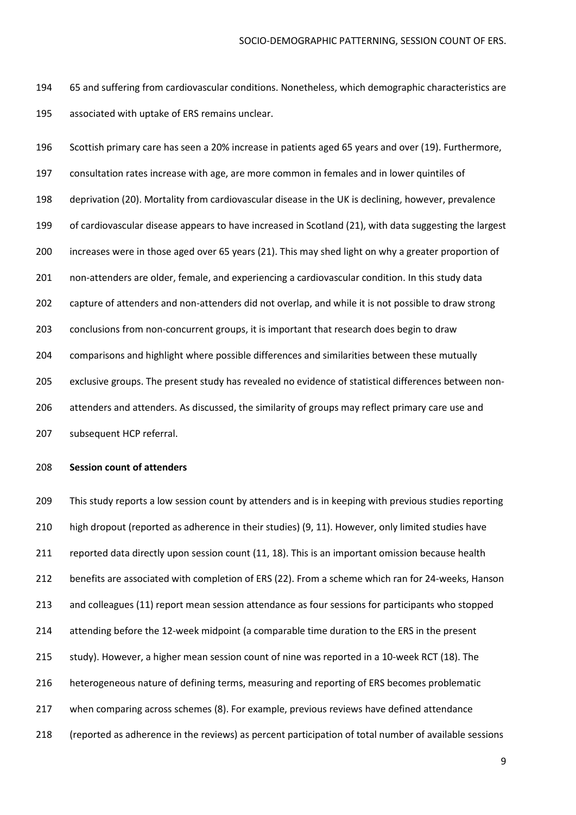65 and suffering from cardiovascular conditions. Nonetheless, which demographic characteristics are associated with uptake of ERS remains unclear.

 Scottish primary care has seen a 20% increase in patients aged 65 years and over (19). Furthermore, consultation rates increase with age, are more common in females and in lower quintiles of deprivation (20). Mortality from cardiovascular disease in the UK is declining, however, prevalence 199 of cardiovascular disease appears to have increased in Scotland (21), with data suggesting the largest increases were in those aged over 65 years (21). This may shed light on why a greater proportion of non-attenders are older, female, and experiencing a cardiovascular condition. In this study data capture of attenders and non-attenders did not overlap, and while it is not possible to draw strong conclusions from non-concurrent groups, it is important that research does begin to draw comparisons and highlight where possible differences and similarities between these mutually exclusive groups. The present study has revealed no evidence of statistical differences between non- attenders and attenders. As discussed, the similarity of groups may reflect primary care use and subsequent HCP referral.

## **Session count of attenders**

209 This study reports a low session count by attenders and is in keeping with previous studies reporting high dropout (reported as adherence in their studies) (9, 11). However, only limited studies have 211 reported data directly upon session count (11, 18). This is an important omission because health benefits are associated with completion of ERS (22). From a scheme which ran for 24-weeks, Hanson and colleagues (11) report mean session attendance as four sessions for participants who stopped attending before the 12-week midpoint (a comparable time duration to the ERS in the present study). However, a higher mean session count of nine was reported in a 10-week RCT (18). The heterogeneous nature of defining terms, measuring and reporting of ERS becomes problematic when comparing across schemes (8). For example, previous reviews have defined attendance (reported as adherence in the reviews) as percent participation of total number of available sessions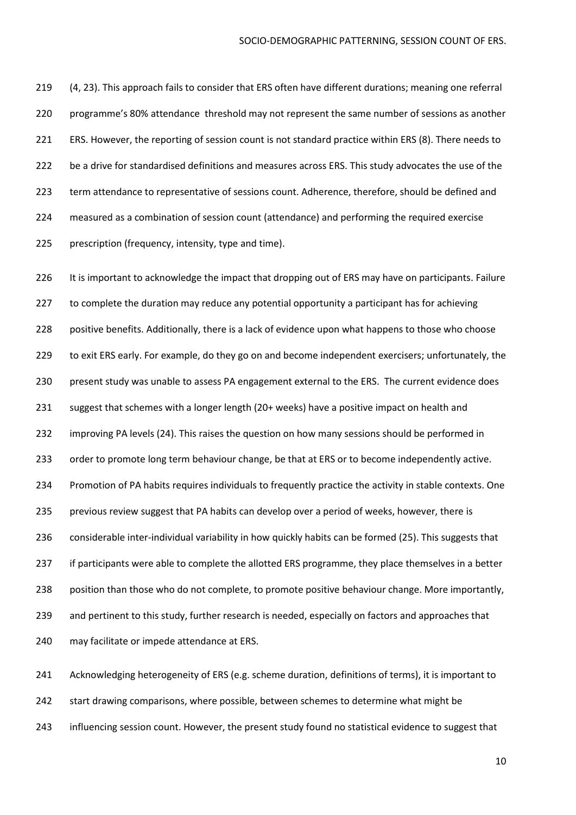(4, 23). This approach fails to consider that ERS often have different durations; meaning one referral programme's 80% attendance threshold may not represent the same number of sessions as another ERS. However, the reporting of session count is not standard practice within ERS (8). There needs to be a drive for standardised definitions and measures across ERS. This study advocates the use of the term attendance to representative of sessions count. Adherence, therefore, should be defined and measured as a combination of session count (attendance) and performing the required exercise prescription (frequency, intensity, type and time).

226 It is important to acknowledge the impact that dropping out of ERS may have on participants. Failure 227 to complete the duration may reduce any potential opportunity a participant has for achieving positive benefits. Additionally, there is a lack of evidence upon what happens to those who choose to exit ERS early. For example, do they go on and become independent exercisers; unfortunately, the 230 present study was unable to assess PA engagement external to the ERS. The current evidence does 231 suggest that schemes with a longer length (20+ weeks) have a positive impact on health and improving PA levels (24). This raises the question on how many sessions should be performed in 233 order to promote long term behaviour change, be that at ERS or to become independently active. Promotion of PA habits requires individuals to frequently practice the activity in stable contexts. One previous review suggest that PA habits can develop over a period of weeks, however, there is considerable inter-individual variability in how quickly habits can be formed (25). This suggests that if participants were able to complete the allotted ERS programme, they place themselves in a better position than those who do not complete, to promote positive behaviour change. More importantly, and pertinent to this study, further research is needed, especially on factors and approaches that may facilitate or impede attendance at ERS.

 Acknowledging heterogeneity of ERS (e.g. scheme duration, definitions of terms), it is important to 242 start drawing comparisons, where possible, between schemes to determine what might be influencing session count. However, the present study found no statistical evidence to suggest that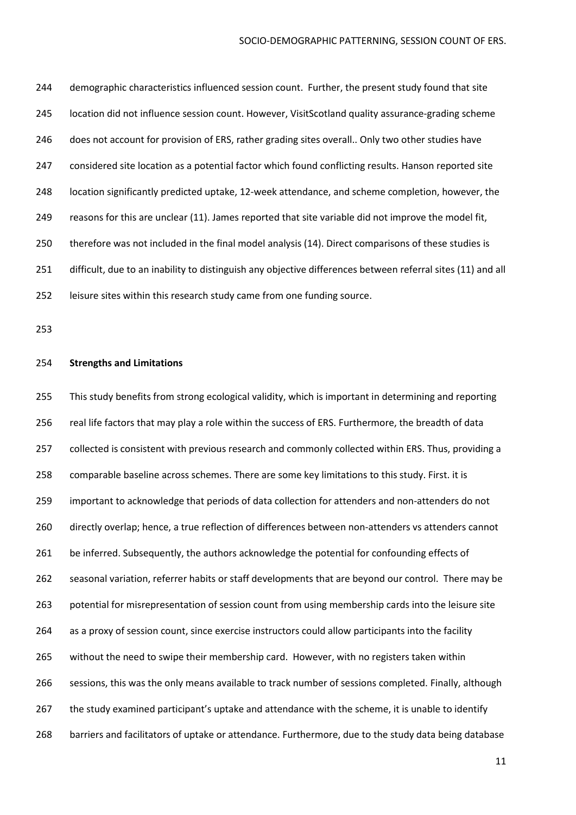244 demographic characteristics influenced session count. Further, the present study found that site location did not influence session count. However, VisitScotland quality assurance-grading scheme 246 does not account for provision of ERS, rather grading sites overall.. Only two other studies have considered site location as a potential factor which found conflicting results. Hanson reported site location significantly predicted uptake, 12-week attendance, and scheme completion, however, the reasons for this are unclear (11). James reported that site variable did not improve the model fit, therefore was not included in the final model analysis (14). Direct comparisons of these studies is 251 difficult, due to an inability to distinguish any objective differences between referral sites (11) and all leisure sites within this research study came from one funding source.

#### **Strengths and Limitations**

 This study benefits from strong ecological validity, which is important in determining and reporting real life factors that may play a role within the success of ERS. Furthermore, the breadth of data 257 collected is consistent with previous research and commonly collected within ERS. Thus, providing a comparable baseline across schemes. There are some key limitations to this study. First. it is important to acknowledge that periods of data collection for attenders and non-attenders do not directly overlap; hence, a true reflection of differences between non-attenders vs attenders cannot 261 be inferred. Subsequently, the authors acknowledge the potential for confounding effects of seasonal variation, referrer habits or staff developments that are beyond our control. There may be potential for misrepresentation of session count from using membership cards into the leisure site as a proxy of session count, since exercise instructors could allow participants into the facility without the need to swipe their membership card. However, with no registers taken within sessions, this was the only means available to track number of sessions completed. Finally, although the study examined participant's uptake and attendance with the scheme, it is unable to identify barriers and facilitators of uptake or attendance. Furthermore, due to the study data being database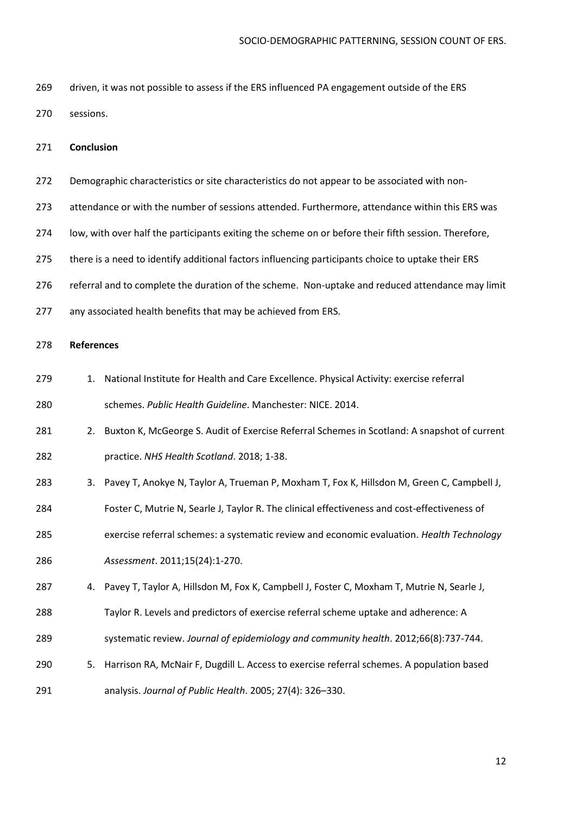driven, it was not possible to assess if the ERS influenced PA engagement outside of the ERS sessions.

#### **Conclusion**

- Demographic characteristics or site characteristics do not appear to be associated with non-
- attendance or with the number of sessions attended. Furthermore, attendance within this ERS was
- low, with over half the participants exiting the scheme on or before their fifth session. Therefore,
- there is a need to identify additional factors influencing participants choice to uptake their ERS
- referral and to complete the duration of the scheme. Non-uptake and reduced attendance may limit
- any associated health benefits that may be achieved from ERS.

### **References**

- 279 1. National Institute for Health and Care Excellence. Physical Activity: exercise referral schemes. *Public Health Guideline*. Manchester: NICE. 2014.
- 281 281 2. Buxton K, McGeorge S. Audit of Exercise Referral Schemes in Scotland: A snapshot of current practice. *NHS Health Scotland*. 2018; 1-38.
- 283 3. Pavey T, Anokye N, Taylor A, Trueman P, Moxham T, Fox K, Hillsdon M, Green C, Campbell J,
- Foster C, Mutrie N, Searle J, Taylor R. The clinical effectiveness and cost-effectiveness of
- exercise referral schemes: a systematic review and economic evaluation. *Health Technology*
- *Assessment*. 2011;15(24):1-270.
- 4. Pavey T, Taylor A, Hillsdon M, Fox K, Campbell J, Foster C, Moxham T, Mutrie N, Searle J,
- Taylor R. Levels and predictors of exercise referral scheme uptake and adherence: A
- systematic review. *Journal of epidemiology and community health*. 2012;66(8):737-744.
- 5. Harrison RA, McNair F, Dugdill L. Access to exercise referral schemes. A population based analysis. *Journal of Public Health*. 2005; 27(4): 326–330.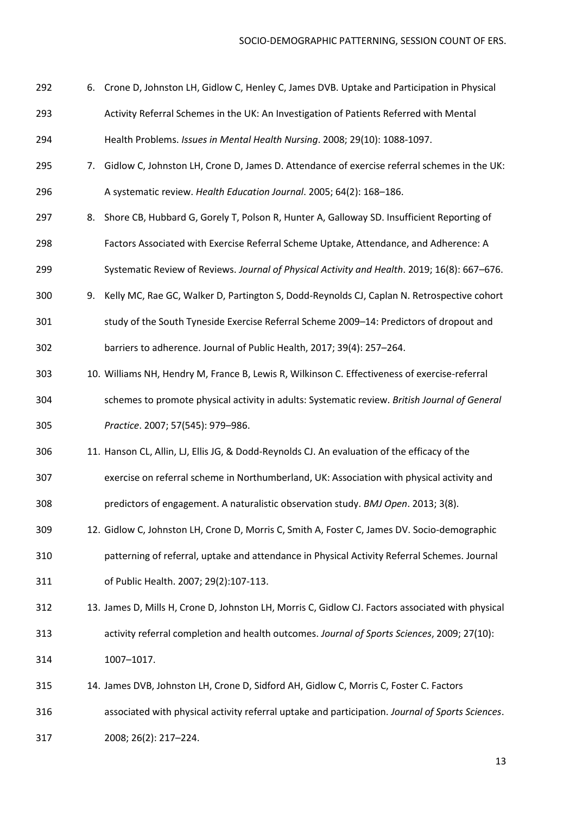- 6. Crone D, Johnston LH, Gidlow C, Henley C, James DVB. Uptake and Participation in Physical Activity Referral Schemes in the UK: An Investigation of Patients Referred with Mental Health Problems. *Issues in Mental Health Nursing*. 2008; 29(10): 1088-1097.
- 7. Gidlow C, Johnston LH, Crone D, James D. Attendance of exercise referral schemes in the UK: A systematic review. *Health Education Journal*. 2005; 64(2): 168–186.
- 8. Shore CB, Hubbard G, Gorely T, Polson R, Hunter A, Galloway SD. Insufficient Reporting of Factors Associated with Exercise Referral Scheme Uptake, Attendance, and Adherence: A
- Systematic Review of Reviews. *Journal of Physical Activity and Health*. 2019; 16(8): 667–676.
- 9. Kelly MC, Rae GC, Walker D, Partington S, Dodd-Reynolds CJ, Caplan N. Retrospective cohort
- 301 study of the South Tyneside Exercise Referral Scheme 2009–14: Predictors of dropout and barriers to adherence. Journal of Public Health, 2017; 39(4): 257–264.
- 10. Williams NH, Hendry M, France B, Lewis R, Wilkinson C. Effectiveness of exercise-referral schemes to promote physical activity in adults: Systematic review. *British Journal of General Practice*. 2007; 57(545): 979–986.
- 11. Hanson CL, Allin, LJ, Ellis JG, & Dodd-Reynolds CJ. An evaluation of the efficacy of the
- exercise on referral scheme in Northumberland, UK: Association with physical activity and predictors of engagement. A naturalistic observation study. *BMJ Open*. 2013; 3(8).
- 12. Gidlow C, Johnston LH, Crone D, Morris C, Smith A, Foster C, James DV. Socio-demographic patterning of referral, uptake and attendance in Physical Activity Referral Schemes. Journal of Public Health. 2007; 29(2):107-113.
- 13. James D, Mills H, Crone D, Johnston LH, Morris C, Gidlow CJ. Factors associated with physical activity referral completion and health outcomes. *Journal of Sports Sciences*, 2009; 27(10): 1007–1017.
- 14. James DVB, Johnston LH, Crone D, Sidford AH, Gidlow C, Morris C, Foster C. Factors associated with physical activity referral uptake and participation. *Journal of Sports Sciences*. 2008; 26(2): 217–224.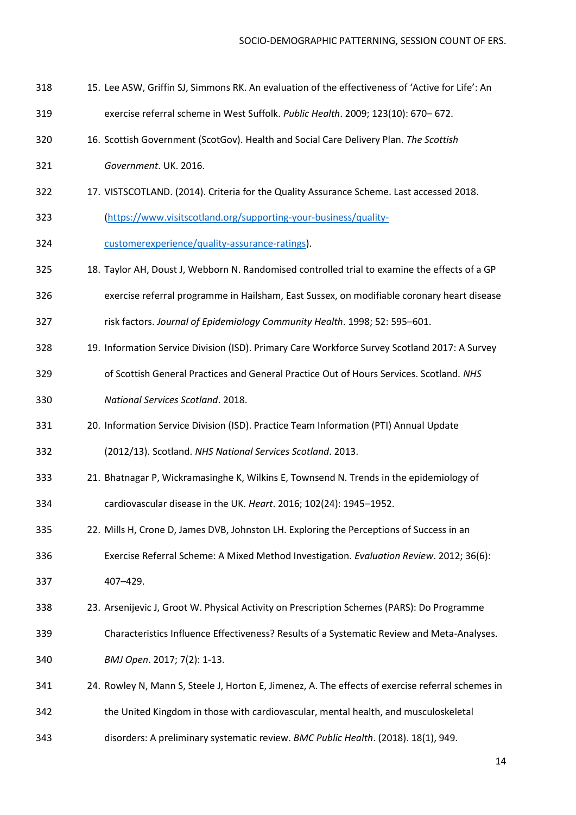- 15. Lee ASW, Griffin SJ, Simmons RK. An evaluation of the effectiveness of 'Active for Life': An
- exercise referral scheme in West Suffolk. *Public Health*. 2009; 123(10): 670– 672.
- 16. Scottish Government (ScotGov). Health and Social Care Delivery Plan. *The Scottish*
- *Government*. UK. 2016.
- 17. VISTSCOTLAND. (2014). Criteria for the Quality Assurance Scheme. Last accessed 2018.
- [\(https://www.visitscotland.org/supporting-your-business/quality-](https://www.visitscotland.org/supporting-your-business/quality-customerexperience/quality-assurance-ratings)
- [customerexperience/quality-assurance-ratings\)](https://www.visitscotland.org/supporting-your-business/quality-customerexperience/quality-assurance-ratings).
- 18. Taylor AH, Doust J, Webborn N. Randomised controlled trial to examine the effects of a GP
- exercise referral programme in Hailsham, East Sussex, on modifiable coronary heart disease
- risk factors. *Journal of Epidemiology Community Health*. 1998; 52: 595–601.
- 19. Information Service Division (ISD). Primary Care Workforce Survey Scotland 2017: A Survey
- of Scottish General Practices and General Practice Out of Hours Services. Scotland. *NHS National Services Scotland*. 2018.
- 20. Information Service Division (ISD). Practice Team Information (PTI) Annual Update

(2012/13). Scotland. *NHS National Services Scotland*. 2013.

- 21. Bhatnagar P, Wickramasinghe K, Wilkins E, Townsend N. Trends in the epidemiology of cardiovascular disease in the UK. *Heart*. 2016; 102(24): 1945–1952.
- 22. Mills H, Crone D, James DVB, Johnston LH. Exploring the Perceptions of Success in an
- Exercise Referral Scheme: A Mixed Method Investigation. *Evaluation Review*. 2012; 36(6): 407–429.
- 23. Arsenijevic J, Groot W. Physical Activity on Prescription Schemes (PARS): Do Programme
- Characteristics Influence Effectiveness? Results of a Systematic Review and Meta-Analyses. *BMJ Open*. 2017; 7(2): 1-13.
- 24. Rowley N, Mann S, Steele J, Horton E, Jimenez, A. The effects of exercise referral schemes in the United Kingdom in those with cardiovascular, mental health, and musculoskeletal
- disorders: A preliminary systematic review. *BMC Public Health*. (2018). 18(1), 949.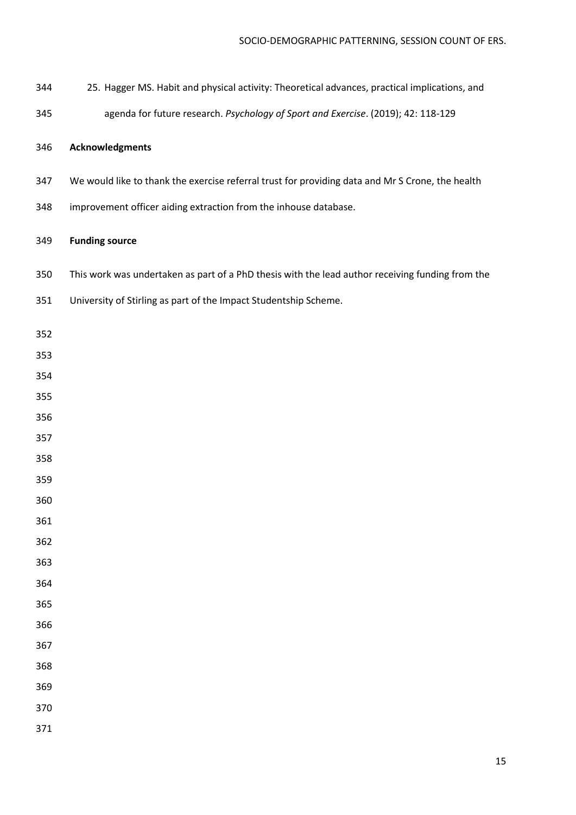- 25. Hagger MS. Habit and physical activity: Theoretical advances, practical implications, and
- agenda for future research. *Psychology of Sport and Exercise*. (2019); 42: 118-129

## **Acknowledgments**

- We would like to thank the exercise referral trust for providing data and Mr S Crone, the health
- improvement officer aiding extraction from the inhouse database.

# **Funding source**

- This work was undertaken as part of a PhD thesis with the lead author receiving funding from the
- University of Stirling as part of the Impact Studentship Scheme.
- 
- 
- 
- 
- 
- 
- 
- 
- 
- 
- 
- 
- 
- 
- 
- 
- 
- 
- 
-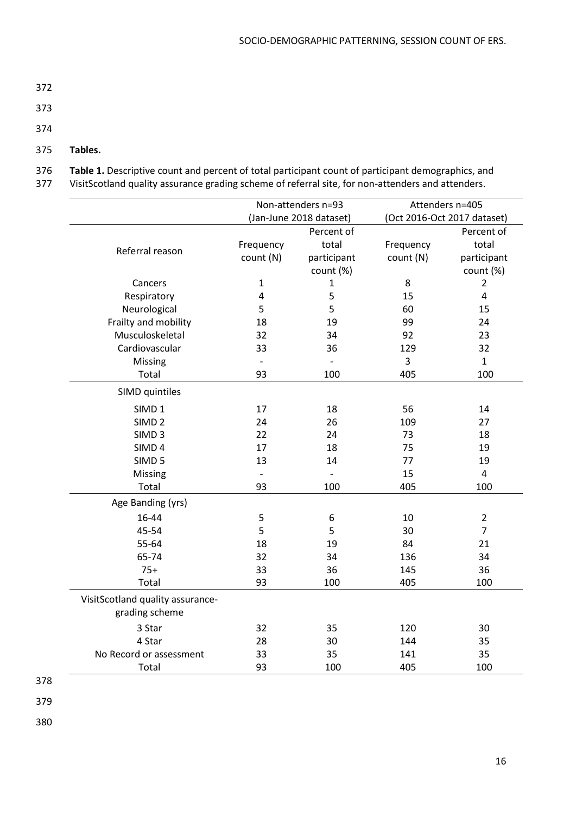- 373
- 374
- 375 **Tables.**
- 376 **Table 1.** Descriptive count and percent of total participant count of participant demographics, and
- 377 VisitScotland quality assurance grading scheme of referral site, for non-attenders and attenders.

|                                                    | Non-attenders n=93<br>(Jan-June 2018 dataset) |               | Attenders n=405<br>(Oct 2016-Oct 2017 dataset) |                         |
|----------------------------------------------------|-----------------------------------------------|---------------|------------------------------------------------|-------------------------|
|                                                    |                                               |               |                                                |                         |
|                                                    |                                               | Percent of    |                                                | Percent of              |
| Referral reason                                    | Frequency                                     | total         | Frequency                                      | total                   |
|                                                    | count (N)                                     | participant   | count (N)                                      | participant             |
|                                                    |                                               | count (%)     |                                                | count (%)               |
| Cancers                                            | $\mathbf 1$                                   | $\mathbf{1}$  | 8                                              | $\overline{2}$          |
| Respiratory                                        | 4                                             | 5             | 15                                             | 4                       |
| Neurological                                       | 5                                             | 5             | 60                                             | 15                      |
| Frailty and mobility                               | 18                                            | 19            | 99                                             | 24                      |
| Musculoskeletal                                    | 32                                            | 34            | 92                                             | 23                      |
| Cardiovascular                                     | 33                                            | 36            | 129                                            | 32                      |
| Missing                                            | $\blacksquare$                                | $\frac{1}{2}$ | 3                                              | $\mathbf{1}$            |
| Total                                              | 93                                            | 100           | 405                                            | 100                     |
| SIMD quintiles                                     |                                               |               |                                                |                         |
| SIMD <sub>1</sub>                                  | 17                                            | 18            | 56                                             | 14                      |
| SIMD <sub>2</sub>                                  | 24                                            | 26            | 109                                            | 27                      |
| SIMD <sub>3</sub>                                  | 22                                            | 24            | 73                                             | 18                      |
| SIMD <sub>4</sub>                                  | 17                                            | 18            | 75                                             | 19                      |
| SIMD <sub>5</sub>                                  | 13                                            | 14            | 77                                             | 19                      |
| Missing                                            | $\overline{a}$                                |               | 15                                             | $\overline{\mathbf{4}}$ |
| Total                                              | 93                                            | 100           | 405                                            | 100                     |
| Age Banding (yrs)                                  |                                               |               |                                                |                         |
| 16-44                                              | 5                                             | 6             | 10                                             | $\overline{2}$          |
| 45-54                                              | 5                                             | 5             | 30                                             | $\overline{7}$          |
| 55-64                                              | 18                                            | 19            | 84                                             | 21                      |
| 65-74                                              | 32                                            | 34            | 136                                            | 34                      |
| $75+$                                              | 33                                            | 36            | 145                                            | 36                      |
| Total                                              | 93                                            | 100           | 405                                            | 100                     |
| VisitScotland quality assurance-<br>grading scheme |                                               |               |                                                |                         |
| 3 Star                                             | 32                                            | 35            | 120                                            | 30                      |
| 4 Star                                             | 28                                            | 30            | 144                                            | 35                      |
| No Record or assessment                            | 33                                            | 35            | 141                                            | 35                      |
| Total                                              | 93                                            | 100           | 405                                            | 100                     |
|                                                    |                                               |               |                                                |                         |

- 378
- 379
- 380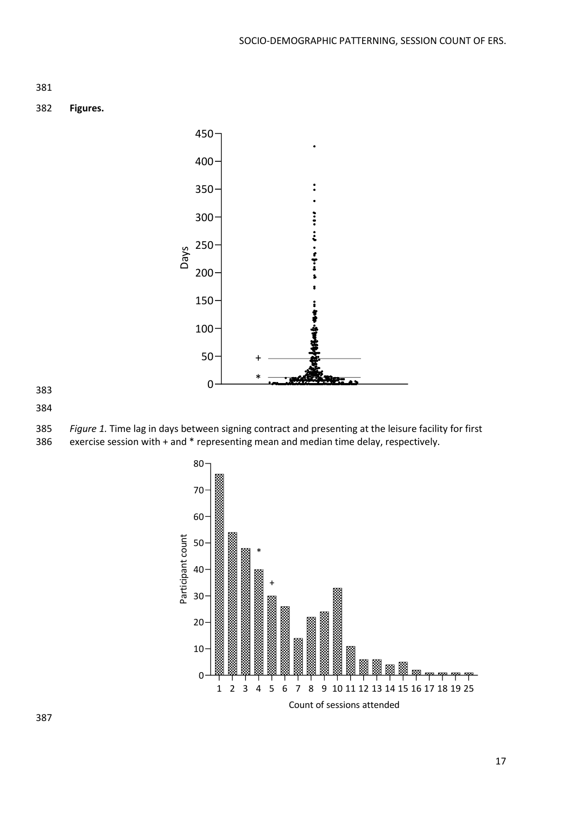

**Figures.**



 *Figure 1.* Time lag in days between signing contract and presenting at the leisure facility for first exercise session with + and \* representing mean and median time delay, respectively.